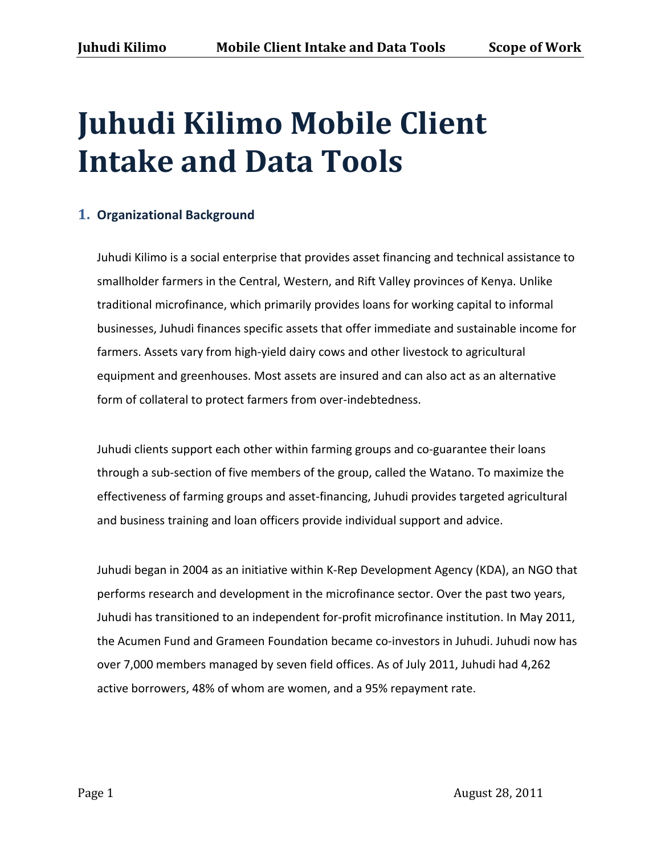# **Juhudi Kilimo Mobile Client Intake and Data Tools**

## **1. Organizational+Background**

Juhudi Kilimo is a social enterprise that provides asset financing and technical assistance to smallholder farmers in the Central, Western, and Rift Valley provinces of Kenya. Unlike traditional microfinance, which primarily provides loans for working capital to informal businesses, Juhudi finances specific assets that offer immediate and sustainable income for farmers. Assets vary from high-yield dairy cows and other livestock to agricultural equipment and greenhouses. Most assets are insured and can also act as an alternative form of collateral to protect farmers from over-indebtedness.

Juhudi clients support each other within farming groups and co-guarantee their loans through a sub-section of five members of the group, called the Watano. To maximize the effectiveness of farming groups and asset-financing, Juhudi provides targeted agricultural and business training and loan officers provide individual support and advice.

Juhudi began in 2004 as an initiative within K-Rep Development Agency (KDA), an NGO that performs research and development in the microfinance sector. Over the past two years, Juhudi has transitioned to an independent for-profit microfinance institution. In May 2011, the Acumen Fund and Grameen Foundation became co-investors in Juhudi. Juhudi now has over 7,000 members managed by seven field offices. As of July 2011, Juhudi had 4,262 active borrowers, 48% of whom are women, and a 95% repayment rate.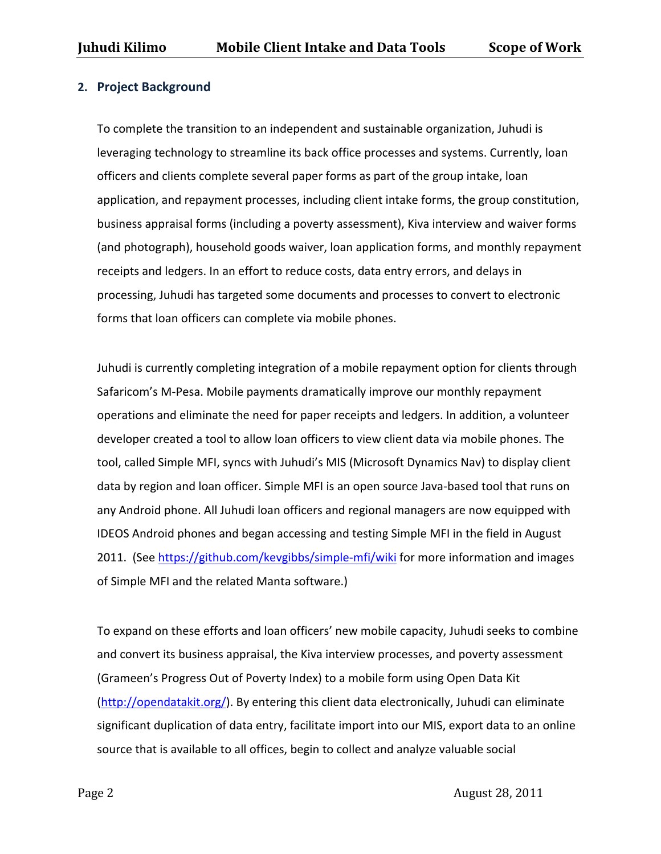## **2.** Project Background

To complete the transition to an independent and sustainable organization, Juhudi is leveraging technology to streamline its back office processes and systems. Currently, loan officers and clients complete several paper forms as part of the group intake, loan application, and repayment processes, including client intake forms, the group constitution, business appraisal forms (including a poverty assessment), Kiva interview and waiver forms (and photograph), household goods waiver, loan application forms, and monthly repayment receipts and ledgers. In an effort to reduce costs, data entry errors, and delays in processing, Juhudi has targeted some documents and processes to convert to electronic forms that loan officers can complete via mobile phones.

Juhudi is currently completing integration of a mobile repayment option for clients through Safaricom's M-Pesa. Mobile payments dramatically improve our monthly repayment operations and eliminate the need for paper receipts and ledgers. In addition, a volunteer developer created a tool to allow loan officers to view client data via mobile phones. The tool, called Simple MFI, syncs with Juhudi's MIS (Microsoft Dynamics Nav) to display client data by region and loan officer. Simple MFI is an open source Java-based tool that runs on any Android phone. All Juhudi loan officers and regional managers are now equipped with IDEOS Android phones and began accessing and testing Simple MFI in the field in August 2011. (See https://github.com/kevgibbs/simple-mfi/wiki for more information and images of Simple MFI and the related Manta software.)

To expand on these efforts and loan officers' new mobile capacity, Juhudi seeks to combine and convert its business appraisal, the Kiva interview processes, and poverty assessment (Grameen's Progress Out of Poverty Index) to a mobile form using Open Data Kit  $(\text{http://opendatakit.org/}).$  By entering this client data electronically, Juhudi can eliminate significant duplication of data entry, facilitate import into our MIS, export data to an online source that is available to all offices, begin to collect and analyze valuable social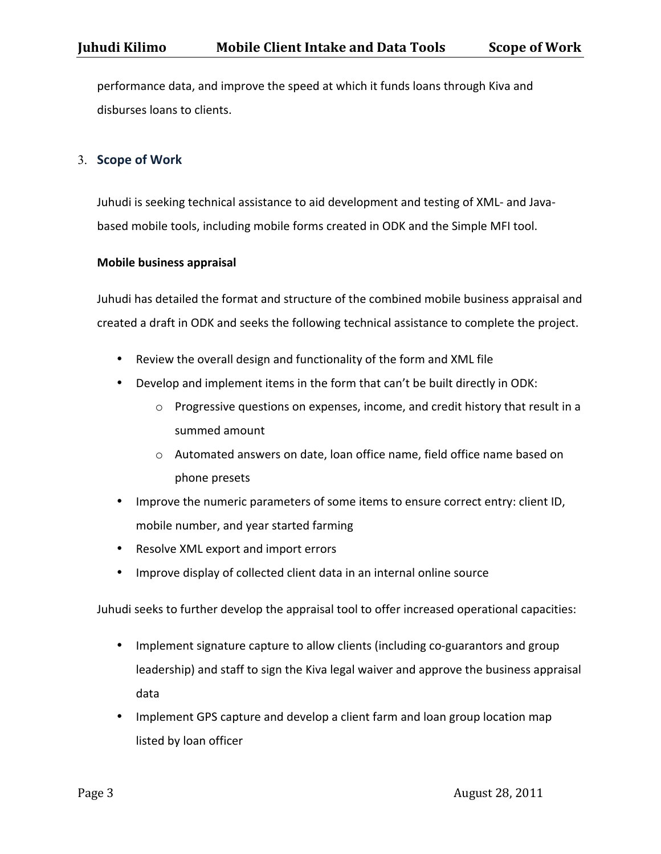performance data, and improve the speed at which it funds loans through Kiva and disburses loans to clients.

### 3. **Scope of Work**

Juhudi is seeking technical assistance to aid development and testing of XML- and Javabased mobile tools, including mobile forms created in ODK and the Simple MFI tool.

#### **Mobile+business+appraisal**

Juhudi has detailed the format and structure of the combined mobile business appraisal and created a draft in ODK and seeks the following technical assistance to complete the project.

- Review the overall design and functionality of the form and XML file
- Develop and implement items in the form that can't be built directly in ODK:
	- $\circ$  Progressive questions on expenses, income, and credit history that result in a summed amount
	- $\circ$  Automated answers on date, loan office name, field office name based on phone presets
- Improve the numeric parameters of some items to ensure correct entry: client ID, mobile number, and year started farming
- Resolve XML export and import errors
- Improve display of collected client data in an internal online source

Juhudi seeks to further develop the appraisal tool to offer increased operational capacities:

- Implement signature capture to allow clients (including co-guarantors and group leadership) and staff to sign the Kiva legal waiver and approve the business appraisal data
- Implement GPS capture and develop a client farm and loan group location map listed by loan officer